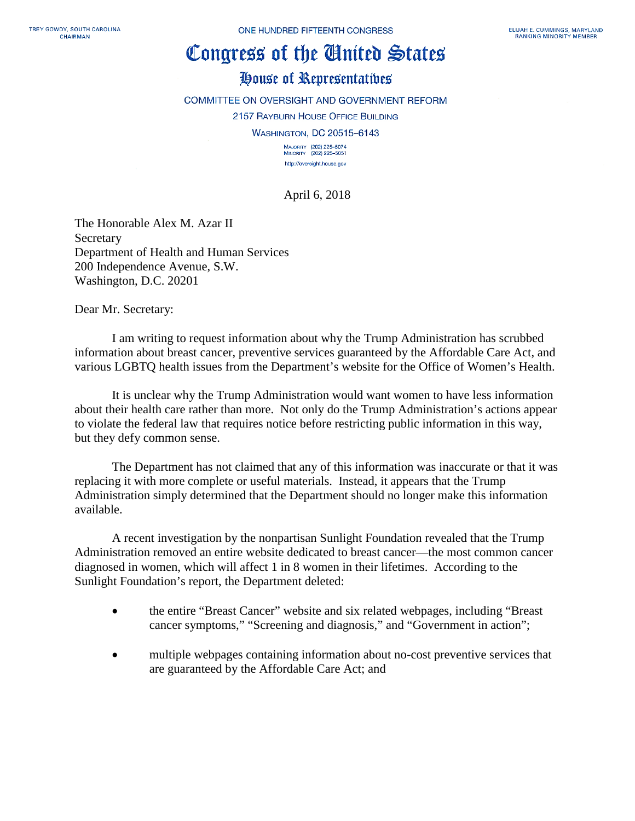## Congress of the Ginited States

## House of Representatives

COMMITTEE ON OVERSIGHT AND GOVERNMENT REFORM 2157 RAYBURN HOUSE OFFICE BUILDING **WASHINGTON, DC 20515-6143** 

> MAJORITY (202) 225-5074<br>MINORITY (202) 225-5051 http://oversight.house.gov

April 6, 2018

The Honorable Alex M. Azar II **Secretary** Department of Health and Human Services 200 Independence Avenue, S.W. Washington, D.C. 20201

Dear Mr. Secretary:

I am writing to request information about why the Trump Administration has scrubbed information about breast cancer, preventive services guaranteed by the Affordable Care Act, and various LGBTQ health issues from the Department's website for the Office of Women's Health.

It is unclear why the Trump Administration would want women to have less information about their health care rather than more. Not only do the Trump Administration's actions appear to violate the federal law that requires notice before restricting public information in this way, but they defy common sense.

The Department has not claimed that any of this information was inaccurate or that it was replacing it with more complete or useful materials. Instead, it appears that the Trump Administration simply determined that the Department should no longer make this information available.

A recent investigation by the nonpartisan Sunlight Foundation revealed that the Trump Administration removed an entire website dedicated to breast cancer—the most common cancer diagnosed in women, which will affect 1 in 8 women in their lifetimes. According to the Sunlight Foundation's report, the Department deleted:

- the entire "Breast Cancer" website and six related webpages, including "Breast cancer symptoms," "Screening and diagnosis," and "Government in action";
- multiple webpages containing information about no-cost preventive services that are guaranteed by the Affordable Care Act; and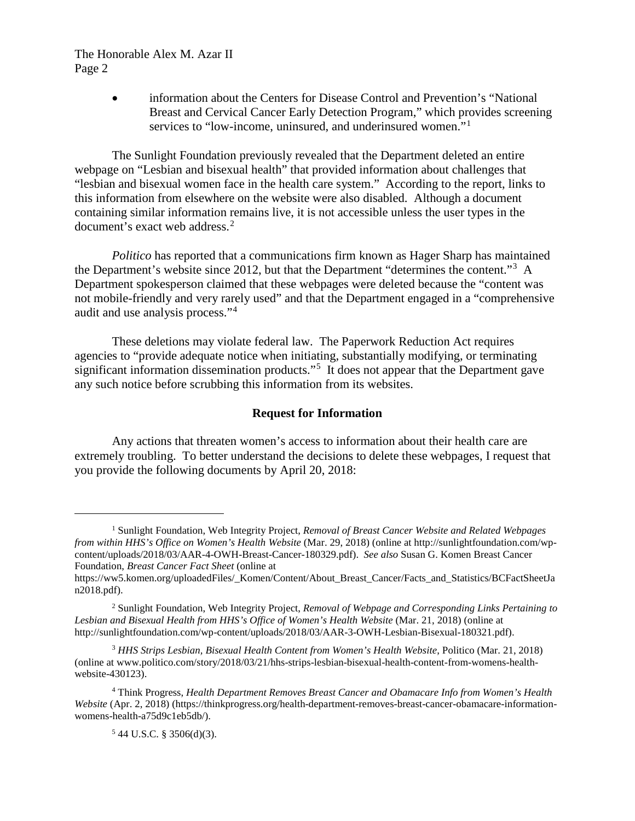The Honorable Alex M. Azar II Page 2

> • information about the Centers for Disease Control and Prevention's "National Breast and Cervical Cancer Early Detection Program," which provides screening services to "low-income, uninsured, and underinsured women."<sup>[1](#page-1-0)</sup>

The Sunlight Foundation previously revealed that the Department deleted an entire webpage on "Lesbian and bisexual health" that provided information about challenges that "lesbian and bisexual women face in the health care system." According to the report, links to this information from elsewhere on the website were also disabled. Although a document containing similar information remains live, it is not accessible unless the user types in the document's exact web address. [2](#page-1-1)

*Politico* has reported that a communications firm known as Hager Sharp has maintained the Department's website since 2012, but that the Department "determines the content."<sup>[3](#page-1-2)</sup> A Department spokesperson claimed that these webpages were deleted because the "content was not mobile-friendly and very rarely used" and that the Department engaged in a "comprehensive audit and use analysis process."[4](#page-1-3)

These deletions may violate federal law. The Paperwork Reduction Act requires agencies to "provide adequate notice when initiating, substantially modifying, or terminating significant information dissemination products."<sup>[5](#page-1-4)</sup> It does not appear that the Department gave any such notice before scrubbing this information from its websites.

## **Request for Information**

Any actions that threaten women's access to information about their health care are extremely troubling. To better understand the decisions to delete these webpages, I request that you provide the following documents by April 20, 2018:

 $\overline{a}$ 

<span id="page-1-0"></span><sup>1</sup> Sunlight Foundation, Web Integrity Project, *Removal of Breast Cancer Website and Related Webpages from within HHS's Office on Women's Health Website* (Mar. 29, 2018) (online at http://sunlightfoundation.com/wpcontent/uploads/2018/03/AAR-4-OWH-Breast-Cancer-180329.pdf). *See also* Susan G. Komen Breast Cancer Foundation, *Breast Cancer Fact Sheet* (online at

https://ww5.komen.org/uploadedFiles/\_Komen/Content/About\_Breast\_Cancer/Facts\_and\_Statistics/BCFactSheetJa n2018.pdf).

<span id="page-1-1"></span><sup>2</sup> Sunlight Foundation, Web Integrity Project, *Removal of Webpage and Corresponding Links Pertaining to Lesbian and Bisexual Health from HHS's Office of Women's Health Website* (Mar. 21, 2018) (online at http://sunlightfoundation.com/wp-content/uploads/2018/03/AAR-3-OWH-Lesbian-Bisexual-180321.pdf).

<span id="page-1-2"></span><sup>3</sup> *HHS Strips Lesbian, Bisexual Health Content from Women's Health Website*, Politico (Mar. 21, 2018) (online at www.politico.com/story/2018/03/21/hhs-strips-lesbian-bisexual-health-content-from-womens-healthwebsite-430123).

<span id="page-1-4"></span><span id="page-1-3"></span><sup>4</sup> Think Progress, *Health Department Removes Breast Cancer and Obamacare Info from Women's Health Website* (Apr. 2, 2018) (https://thinkprogress.org/health-department-removes-breast-cancer-obamacare-informationwomens-health-a75d9c1eb5db/).

 $544$  U.S.C. § 3506(d)(3).